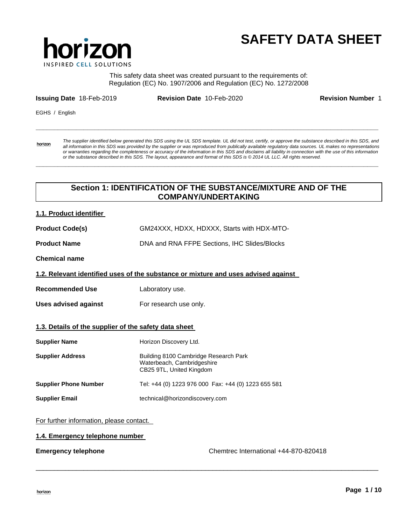

# **SAFETY DATA SHEET**

This safety data sheet was created pursuant to the requirements of: Regulation (EC) No. 1907/2006 and Regulation (EC) No. 1272/2008

**\_\_\_\_\_\_\_\_\_\_\_\_\_\_\_\_\_\_\_\_\_\_\_\_\_\_\_\_\_\_\_\_\_\_\_\_\_\_\_\_\_\_\_\_\_\_\_\_\_\_\_\_\_\_\_\_\_\_\_\_\_\_\_\_\_\_\_\_\_\_\_\_\_\_\_\_\_\_\_\_\_\_\_\_\_\_\_\_\_\_\_\_\_** 

**\_\_\_\_\_\_\_\_\_\_\_\_\_\_\_\_\_\_\_\_\_\_\_\_\_\_\_\_\_\_\_\_\_\_\_\_\_\_\_\_\_\_\_\_\_\_\_\_\_\_\_\_\_\_\_\_\_\_\_\_\_\_\_\_\_\_\_\_\_\_\_\_\_\_\_\_\_\_\_\_\_\_\_\_\_\_\_\_\_\_\_\_\_** 

**Issuing Date** 18-Feb-2019 **Revision Date** 10-Feb-2020 **Revision Number** 1

EGHS / English

horizon

*The supplier identified below generated this SDS using the UL SDS template. UL did not test, certify, or approve the substance described in this SDS, and all information in this SDS was provided by the supplier or was reproduced from publically available regulatory data sources. UL makes no representations or warranties regarding the completeness or accuracy of the information in this SDS and disclaims all liability in connection with the use of this information or the substance described in this SDS. The layout, appearance and format of this SDS is © 2014 UL LLC. All rights reserved.* 

# **Section 1: IDENTIFICATION OF THE SUBSTANCE/MIXTURE AND OF THE COMPANY/UNDERTAKING**

\_\_\_\_\_\_\_\_\_\_\_\_\_\_\_\_\_\_\_\_\_\_\_\_\_\_\_\_\_\_\_\_\_\_\_\_\_\_\_\_\_\_\_\_\_\_\_\_\_\_\_\_\_\_\_\_\_\_\_\_\_\_\_\_\_\_\_\_\_\_\_\_\_\_\_\_\_\_\_\_\_\_\_\_\_\_\_\_\_\_\_\_\_

# **1.1. Product identifier**

| <b>Product Code(s)</b> | GM24XXX, HDXX, HDXXX, Starts with HDX-MTO- |
|------------------------|--------------------------------------------|
|                        |                                            |

**Product Name** DNA and RNA FFPE Sections, IHC Slides/Blocks

**Chemical name** 

**1.2. Relevant identified uses of the substance or mixture and uses advised against** 

- **Recommended Use Laboratory use.**
- Uses advised against **For research use only.**

## **1.3. Details of the supplier of the safety data sheet**

| <b>Supplier Name</b>         | Horizon Discovery Ltd.                                                                          |
|------------------------------|-------------------------------------------------------------------------------------------------|
| <b>Supplier Address</b>      | Building 8100 Cambridge Research Park<br>Waterbeach, Cambridgeshire<br>CB25 9TL, United Kingdom |
| <b>Supplier Phone Number</b> | Tel: +44 (0) 1223 976 000 Fax: +44 (0) 1223 655 581                                             |
| <b>Supplier Email</b>        | technical@horizondiscovery.com                                                                  |

For further information, please contact.

## **1.4. Emergency telephone number**

**Emergency telephone** Chemtrec International +44-870-820418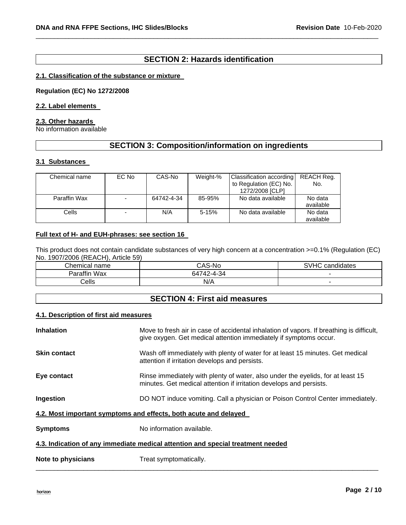# **SECTION 2: Hazards identification**

\_\_\_\_\_\_\_\_\_\_\_\_\_\_\_\_\_\_\_\_\_\_\_\_\_\_\_\_\_\_\_\_\_\_\_\_\_\_\_\_\_\_\_\_\_\_\_\_\_\_\_\_\_\_\_\_\_\_\_\_\_\_\_\_\_\_\_\_\_\_\_\_\_\_\_\_\_\_\_\_\_\_\_\_\_\_\_\_\_\_\_\_\_

## **2.1. Classification of the substance or mixture**

**Regulation (EC) No 1272/2008** 

# **2.2. Label elements**

## **2.3. Other hazards**

No information available

# **SECTION 3: Composition/information on ingredients**

## **3.1 Substances**

| Chemical name | EC No | CAS-No     | Weight-% | Classification according<br>to Regulation (EC) No.<br>1272/2008 [CLP] | REACH Req.<br>No.    |
|---------------|-------|------------|----------|-----------------------------------------------------------------------|----------------------|
| Paraffin Wax  |       | 64742-4-34 | 85-95%   | No data available                                                     | No data<br>available |
| Cells         |       | N/A        | $5-15%$  | No data available                                                     | No data<br>available |

## **Full text of H- and EUH-phrases: see section 16**

This product does not contain candidate substances of very high concern at a concentration >=0.1% (Regulation (EC) No. 1907/2006 (REACH), Article 59)

| Chemical<br>name | $\bigcap_{n=1}^{\infty}$<br>CAS-NO | <b>SVHC</b><br>. .<br>candidates |
|------------------|------------------------------------|----------------------------------|
| Paraffin<br>Wax  | 64742-4-34                         |                                  |
| `ells            | N/A                                |                                  |

# **SECTION 4: First aid measures**

#### **4.1. Description of first aid measures**

| <b>Inhalation</b>                                                               | Move to fresh air in case of accidental inhalation of vapors. If breathing is difficult,<br>give oxygen. Get medical attention immediately if symptoms occur. |  |
|---------------------------------------------------------------------------------|---------------------------------------------------------------------------------------------------------------------------------------------------------------|--|
| <b>Skin contact</b>                                                             | Wash off immediately with plenty of water for at least 15 minutes. Get medical<br>attention if irritation develops and persists.                              |  |
| Eye contact                                                                     | Rinse immediately with plenty of water, also under the eyelids, for at least 15<br>minutes. Get medical attention if irritation develops and persists.        |  |
| Ingestion                                                                       | DO NOT induce vomiting. Call a physician or Poison Control Center immediately.                                                                                |  |
| 4.2. Most important symptoms and effects, both acute and delayed                |                                                                                                                                                               |  |
| <b>Symptoms</b>                                                                 | No information available.                                                                                                                                     |  |
| 4.3. Indication of any immediate medical attention and special treatment needed |                                                                                                                                                               |  |
| Note to physicians                                                              | Treat symptomatically.                                                                                                                                        |  |

\_\_\_\_\_\_\_\_\_\_\_\_\_\_\_\_\_\_\_\_\_\_\_\_\_\_\_\_\_\_\_\_\_\_\_\_\_\_\_\_\_\_\_\_\_\_\_\_\_\_\_\_\_\_\_\_\_\_\_\_\_\_\_\_\_\_\_\_\_\_\_\_\_\_\_\_\_\_\_\_\_\_\_\_\_\_\_\_\_\_\_\_\_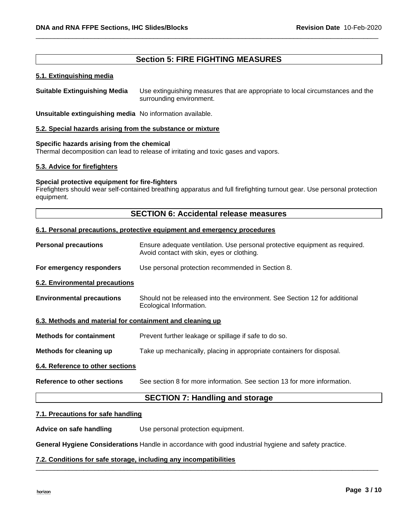# **Section 5: FIRE FIGHTING MEASURES**

\_\_\_\_\_\_\_\_\_\_\_\_\_\_\_\_\_\_\_\_\_\_\_\_\_\_\_\_\_\_\_\_\_\_\_\_\_\_\_\_\_\_\_\_\_\_\_\_\_\_\_\_\_\_\_\_\_\_\_\_\_\_\_\_\_\_\_\_\_\_\_\_\_\_\_\_\_\_\_\_\_\_\_\_\_\_\_\_\_\_\_\_\_

## **5.1. Extinguishing media**

**Suitable Extinguishing Media** Use extinguishing measures that are appropriate to local circumstances and the surrounding environment.

**Unsuitable extinguishing media** No information available.

## **5.2. Special hazards arising from the substance or mixture**

## **Specific hazards arising from the chemical**

Thermal decomposition can lead to release of irritating and toxic gases and vapors.

## **5.3. Advice for firefighters**

## **Special protective equipment for fire-fighters**

Firefighters should wear self-contained breathing apparatus and full firefighting turnout gear. Use personal protection equipment.

## **SECTION 6: Accidental release measures**

## **6.1. Personal precautions, protective equipment and emergency procedures**

**Personal precautions** Ensure adequate ventilation. Use personal protective equipment as required. Avoid contact with skin, eyes or clothing. **For emergency responders** Use personal protection recommended in Section 8. **6.2. Environmental precautions Environmental precautions** Should not be released into the environment. See Section 12 for additional Ecological Information. **6.3. Methods and material for containment and cleaning up Methods for containment** Prevent further leakage or spillage if safe to do so. **Methods for cleaning up** Take up mechanically, placing in appropriate containers for disposal. **6.4. Reference to other sections Reference to other sections** See section 8 for more information. See section 13 for more information. **SECTION 7: Handling and storage** 

#### **7.1. Precautions for safe handling**

**Advice on safe handling** Use personal protection equipment.

**General Hygiene Considerations** Handle in accordance with good industrial hygiene and safety practice.

\_\_\_\_\_\_\_\_\_\_\_\_\_\_\_\_\_\_\_\_\_\_\_\_\_\_\_\_\_\_\_\_\_\_\_\_\_\_\_\_\_\_\_\_\_\_\_\_\_\_\_\_\_\_\_\_\_\_\_\_\_\_\_\_\_\_\_\_\_\_\_\_\_\_\_\_\_\_\_\_\_\_\_\_\_\_\_\_\_\_\_\_\_

## **7.2. Conditions for safe storage, including any incompatibilities**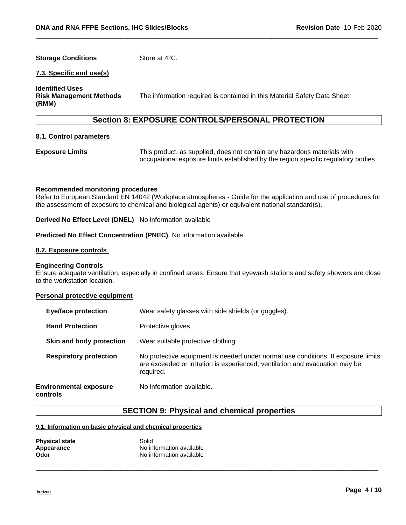# **Storage Conditions Store at 4°C.**

## **7.3. Specific end use(s)**

**Identified Uses** 

**Risk Management Methods (RMM)** 

The information required is contained in this Material Safety Data Sheet.

# **Section 8: EXPOSURE CONTROLS/PERSONAL PROTECTION**

\_\_\_\_\_\_\_\_\_\_\_\_\_\_\_\_\_\_\_\_\_\_\_\_\_\_\_\_\_\_\_\_\_\_\_\_\_\_\_\_\_\_\_\_\_\_\_\_\_\_\_\_\_\_\_\_\_\_\_\_\_\_\_\_\_\_\_\_\_\_\_\_\_\_\_\_\_\_\_\_\_\_\_\_\_\_\_\_\_\_\_\_\_

#### **8.1. Control parameters**

**Exposure Limits** This product, as supplied, does not contain any hazardous materials with occupational exposure limits established by the region specific regulatory bodies

#### **Recommended monitoring procedures**

Refer to European Standard EN 14042 (Workplace atmospheres - Guide for the application and use of procedures for the assessment of exposure to chemical and biological agents) or equivalent national standard(s).

**Derived No Effect Level (DNEL)** No information available

#### **Predicted No Effect Concentration (PNEC)** No information available

#### **8.2. Exposure controls**

#### **Engineering Controls**

Ensure adequate ventilation, especially in confined areas. Ensure that eyewash stations and safety showers are close to the workstation location.

#### **Personal protective equipment**

| <b>Eye/face protection</b>                | Wear safety glasses with side shields (or goggles).                                                                                                                            |
|-------------------------------------------|--------------------------------------------------------------------------------------------------------------------------------------------------------------------------------|
| <b>Hand Protection</b>                    | Protective gloves.                                                                                                                                                             |
| Skin and body protection                  | Wear suitable protective clothing.                                                                                                                                             |
| <b>Respiratory protection</b>             | No protective equipment is needed under normal use conditions. If exposure limits<br>are exceeded or irritation is experienced, ventilation and evacuation may be<br>required. |
| <b>Environmental exposure</b><br>controls | No information available.                                                                                                                                                      |

## **SECTION 9: Physical and chemical properties**

\_\_\_\_\_\_\_\_\_\_\_\_\_\_\_\_\_\_\_\_\_\_\_\_\_\_\_\_\_\_\_\_\_\_\_\_\_\_\_\_\_\_\_\_\_\_\_\_\_\_\_\_\_\_\_\_\_\_\_\_\_\_\_\_\_\_\_\_\_\_\_\_\_\_\_\_\_\_\_\_\_\_\_\_\_\_\_\_\_\_\_\_\_

#### **9.1. Information on basic physical and chemical properties**

| <b>Physical state</b> | Solid                    |
|-----------------------|--------------------------|
| Appearance            | No information available |
| Odor                  | No information available |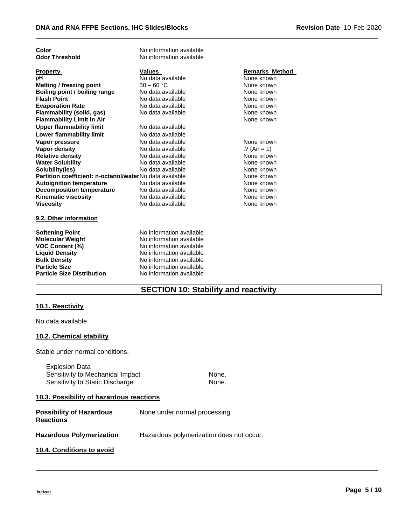| Color                                                   | No information available |                       |
|---------------------------------------------------------|--------------------------|-----------------------|
| <b>Odor Threshold</b>                                   | No information available |                       |
|                                                         |                          |                       |
| <b>Property</b>                                         | <b>Values</b>            | <b>Remarks Method</b> |
| pН                                                      | No data available        | None known            |
| <b>Melting / freezing point</b>                         | $50 - 60 °C$             | None known            |
| Boiling point / boiling range                           | No data available        | None known            |
| <b>Flash Point</b>                                      | No data available        | None known            |
| <b>Evaporation Rate</b>                                 | No data available        | None known            |
| Flammability (solid, gas)                               | No data available        | None known            |
| <b>Flammability Limit in Air</b>                        |                          | None known            |
| <b>Upper flammability limit</b>                         | No data available        |                       |
| <b>Lower flammability limit</b>                         | No data available        |                       |
| Vapor pressure                                          | No data available        | None known            |
| <b>Vapor density</b>                                    | No data available        | .? (Air = 1)          |
| <b>Relative density</b>                                 | No data available        | None known            |
| <b>Water Solubility</b>                                 | No data available        | None known            |
| Solubility(ies)                                         | No data available        | None known            |
| Partition coefficient: n-octanol/waterNo data available |                          | None known            |
| <b>Autoignition temperature</b>                         | No data available        | None known            |
| <b>Decomposition temperature</b>                        | No data available        | None known            |
| <b>Kinematic viscosity</b>                              | No data available        | None known            |
| <b>Viscosity</b>                                        | No data available        | None known            |
| 9.2. Other information                                  |                          |                       |
|                                                         |                          |                       |
| <b>Softening Point</b>                                  | No information available |                       |
| <b>Molecular Weight</b>                                 | No information available |                       |
| <b>VOC Content (%)</b>                                  | No information available |                       |
| <b>Liquid Density</b>                                   | No information available |                       |
| <b>Bulk Density</b>                                     | No information available |                       |
| <b>Particle Size</b>                                    | No information available |                       |
| <b>Particle Size Distribution</b>                       | No information available |                       |

\_\_\_\_\_\_\_\_\_\_\_\_\_\_\_\_\_\_\_\_\_\_\_\_\_\_\_\_\_\_\_\_\_\_\_\_\_\_\_\_\_\_\_\_\_\_\_\_\_\_\_\_\_\_\_\_\_\_\_\_\_\_\_\_\_\_\_\_\_\_\_\_\_\_\_\_\_\_\_\_\_\_\_\_\_\_\_\_\_\_\_\_\_

# **SECTION 10: Stability and reactivity**

# **10.1. Reactivity**

No data available.

# **10.2. Chemical stability**

Stable under normal conditions.

Explosion Data Sensitivity to Mechanical Impact None. Sensitivity to Static Discharge None.

\_\_\_\_\_\_\_\_\_\_\_\_\_\_\_\_\_\_\_\_\_\_\_\_\_\_\_\_\_\_\_\_\_\_\_\_\_\_\_\_\_\_\_\_\_\_\_\_\_\_\_\_\_\_\_\_\_\_\_\_\_\_\_\_\_\_\_\_\_\_\_\_\_\_\_\_\_\_\_\_\_\_\_\_\_\_\_\_\_\_\_\_\_

# **10.3. Possibility of hazardous reactions**

| <b>Possibility of Hazardous</b><br><b>Reactions</b> | None under normal processing.            |
|-----------------------------------------------------|------------------------------------------|
| <b>Hazardous Polymerization</b>                     | Hazardous polymerization does not occur. |
| 10.4. Conditions to avoid                           |                                          |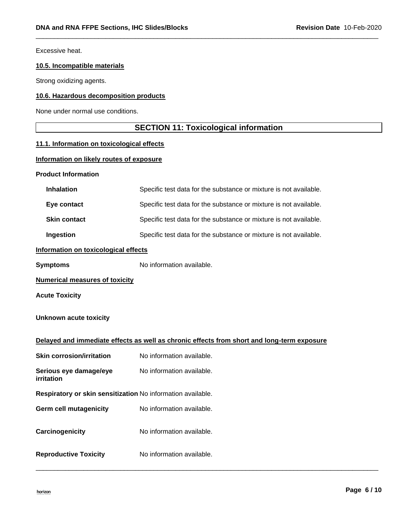Excessive heat.

# **10.5. Incompatible materials**

Strong oxidizing agents.

# **10.6. Hazardous decomposition products**

None under normal use conditions.

# **SECTION 11: Toxicological information**

\_\_\_\_\_\_\_\_\_\_\_\_\_\_\_\_\_\_\_\_\_\_\_\_\_\_\_\_\_\_\_\_\_\_\_\_\_\_\_\_\_\_\_\_\_\_\_\_\_\_\_\_\_\_\_\_\_\_\_\_\_\_\_\_\_\_\_\_\_\_\_\_\_\_\_\_\_\_\_\_\_\_\_\_\_\_\_\_\_\_\_\_\_

# **11.1. Information on toxicological effects**

## **Information on likely routes of exposure**

## **Product Information**

| <b>Inhalation</b>                                           | Specific test data for the substance or mixture is not available.                          |
|-------------------------------------------------------------|--------------------------------------------------------------------------------------------|
| Eye contact                                                 | Specific test data for the substance or mixture is not available.                          |
| <b>Skin contact</b>                                         | Specific test data for the substance or mixture is not available.                          |
| Ingestion                                                   | Specific test data for the substance or mixture is not available.                          |
| Information on toxicological effects                        |                                                                                            |
| <b>Symptoms</b>                                             | No information available.                                                                  |
| <b>Numerical measures of toxicity</b>                       |                                                                                            |
| <b>Acute Toxicity</b>                                       |                                                                                            |
| <b>Unknown acute toxicity</b>                               |                                                                                            |
|                                                             |                                                                                            |
|                                                             | Delayed and immediate effects as well as chronic effects from short and long-term exposure |
| <b>Skin corrosion/irritation</b>                            | No information available.                                                                  |
| Serious eye damage/eye<br>irritation                        | No information available.                                                                  |
| Respiratory or skin sensitization No information available. |                                                                                            |
| <b>Germ cell mutagenicity</b>                               | No information available.                                                                  |
| Carcinogenicity                                             | No information available.                                                                  |

\_\_\_\_\_\_\_\_\_\_\_\_\_\_\_\_\_\_\_\_\_\_\_\_\_\_\_\_\_\_\_\_\_\_\_\_\_\_\_\_\_\_\_\_\_\_\_\_\_\_\_\_\_\_\_\_\_\_\_\_\_\_\_\_\_\_\_\_\_\_\_\_\_\_\_\_\_\_\_\_\_\_\_\_\_\_\_\_\_\_\_\_\_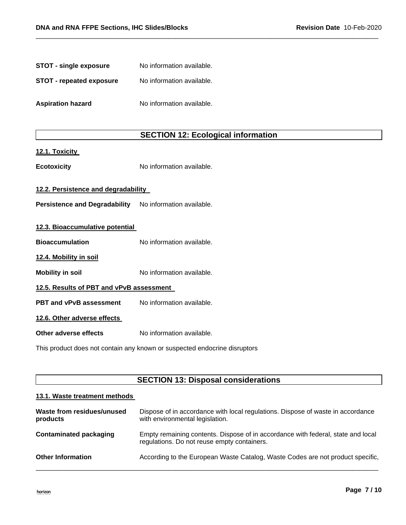| <b>STOT - single exposure</b> | No information available. |
|-------------------------------|---------------------------|
| STOT - repeated exposure      | No information available. |
| <b>Aspiration hazard</b>      | No information available. |

# **SECTION 12: Ecological information**

\_\_\_\_\_\_\_\_\_\_\_\_\_\_\_\_\_\_\_\_\_\_\_\_\_\_\_\_\_\_\_\_\_\_\_\_\_\_\_\_\_\_\_\_\_\_\_\_\_\_\_\_\_\_\_\_\_\_\_\_\_\_\_\_\_\_\_\_\_\_\_\_\_\_\_\_\_\_\_\_\_\_\_\_\_\_\_\_\_\_\_\_\_

## **12.1. Toxicity**

**Ecotoxicity No information available.** 

# **12.2. Persistence and degradability**

Persistence and Degradability No information available.

| 12.3. Bioaccumulative potential          |                           |  |
|------------------------------------------|---------------------------|--|
| <b>Bioaccumulation</b>                   | No information available. |  |
| 12.4. Mobility in soil                   |                           |  |
| <b>Mobility in soil</b>                  | No information available. |  |
| 12.5. Results of PBT and vPvB assessment |                           |  |
| PBT and vPvB assessment                  | No information available. |  |
| 12.6. Other adverse effects              |                           |  |
| Other adverse effects                    | No information available. |  |
|                                          |                           |  |

This product does not contain any known or suspected endocrine disruptors

# **SECTION 13: Disposal considerations**

## **13.1. Waste treatment methods**

| Waste from residues/unused<br>products | Dispose of in accordance with local regulations. Dispose of waste in accordance<br>with environmental legislation.              |
|----------------------------------------|---------------------------------------------------------------------------------------------------------------------------------|
| <b>Contaminated packaging</b>          | Empty remaining contents. Dispose of in accordance with federal, state and local<br>regulations. Do not reuse empty containers. |
| <b>Other Information</b>               | According to the European Waste Catalog, Waste Codes are not product specific,                                                  |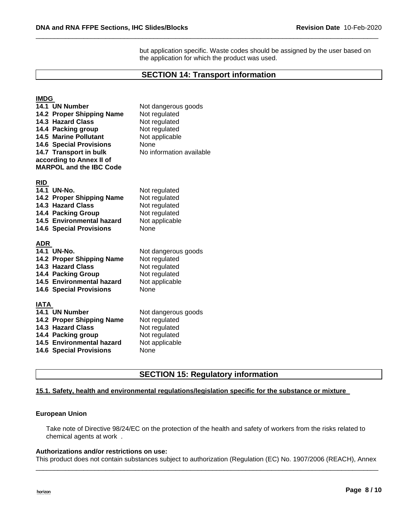but application specific. Waste codes should be assigned by the user based on the application for which the product was used.

# **SECTION 14: Transport information**

\_\_\_\_\_\_\_\_\_\_\_\_\_\_\_\_\_\_\_\_\_\_\_\_\_\_\_\_\_\_\_\_\_\_\_\_\_\_\_\_\_\_\_\_\_\_\_\_\_\_\_\_\_\_\_\_\_\_\_\_\_\_\_\_\_\_\_\_\_\_\_\_\_\_\_\_\_\_\_\_\_\_\_\_\_\_\_\_\_\_\_\_\_

# **IMDG**

|             | 14.1 UN Number<br>14.2 Proper Shipping Name<br><b>14.3 Hazard Class</b><br>14.4 Packing group<br><b>14.5 Marine Pollutant</b><br><b>14.6 Special Provisions</b><br>14.7 Transport in bulk<br>according to Annex II of<br><b>MARPOL and the IBC Code</b> | Not dangerous goods<br>Not regulated<br>Not regulated<br>Not regulated<br>Not applicable<br>None<br>No information available |
|-------------|---------------------------------------------------------------------------------------------------------------------------------------------------------------------------------------------------------------------------------------------------------|------------------------------------------------------------------------------------------------------------------------------|
| <u>RID</u>  |                                                                                                                                                                                                                                                         |                                                                                                                              |
|             | 14.1 UN-No.                                                                                                                                                                                                                                             | Not regulated                                                                                                                |
|             | 14.2 Proper Shipping Name                                                                                                                                                                                                                               | Not regulated                                                                                                                |
|             | 14.3 Hazard Class                                                                                                                                                                                                                                       | Not regulated                                                                                                                |
|             | <b>14.4 Packing Group</b>                                                                                                                                                                                                                               | Not regulated                                                                                                                |
|             | 14.5 Environmental hazard                                                                                                                                                                                                                               | Not applicable                                                                                                               |
|             | <b>14.6 Special Provisions</b>                                                                                                                                                                                                                          | None                                                                                                                         |
| <u>ADR</u>  |                                                                                                                                                                                                                                                         |                                                                                                                              |
|             | 14.1 UN-No.                                                                                                                                                                                                                                             | Not dangerous goods                                                                                                          |
|             | 14.2 Proper Shipping Name                                                                                                                                                                                                                               | Not regulated                                                                                                                |
|             | 14.3 Hazard Class                                                                                                                                                                                                                                       | Not regulated                                                                                                                |
|             | <b>14.4 Packing Group</b>                                                                                                                                                                                                                               | Not regulated                                                                                                                |
|             | 14.5 Environmental hazard                                                                                                                                                                                                                               | Not applicable                                                                                                               |
|             | <b>14.6 Special Provisions</b>                                                                                                                                                                                                                          | None                                                                                                                         |
| <b>IATA</b> |                                                                                                                                                                                                                                                         |                                                                                                                              |
|             | 14.1 UN Number                                                                                                                                                                                                                                          | Not dangerous goods                                                                                                          |
|             | 14.2 Proper Shipping Name                                                                                                                                                                                                                               | Not regulated                                                                                                                |
|             | 14.3 Hazard Class                                                                                                                                                                                                                                       | Not regulated                                                                                                                |
|             | 14.4 Packing group                                                                                                                                                                                                                                      | Not regulated                                                                                                                |
|             | 14.5 Environmental hazard                                                                                                                                                                                                                               | Not applicable                                                                                                               |
|             | <b>14.6 Special Provisions</b>                                                                                                                                                                                                                          | None                                                                                                                         |

# **SECTION 15: Regulatory information**

# **15.1. Safety, health and environmental regulations/legislation specific for the substance or mixture**

#### **European Union**

Take note of Directive 98/24/EC on the protection of the health and safety of workers from the risks related to chemical agents at work .

# **Authorizations and/or restrictions on use:**

\_\_\_\_\_\_\_\_\_\_\_\_\_\_\_\_\_\_\_\_\_\_\_\_\_\_\_\_\_\_\_\_\_\_\_\_\_\_\_\_\_\_\_\_\_\_\_\_\_\_\_\_\_\_\_\_\_\_\_\_\_\_\_\_\_\_\_\_\_\_\_\_\_\_\_\_\_\_\_\_\_\_\_\_\_\_\_\_\_\_\_\_\_ This product does not contain substances subject to authorization (Regulation (EC) No. 1907/2006 (REACH), Annex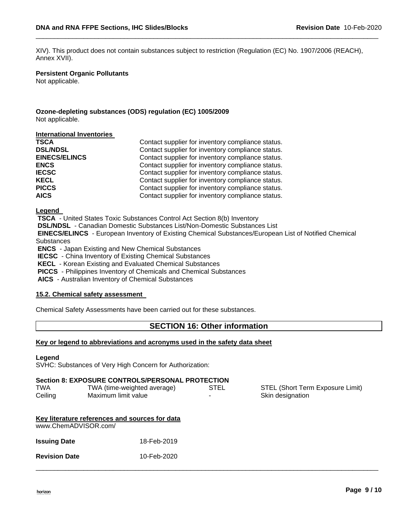XIV). This product does not contain substances subject to restriction (Regulation (EC) No. 1907/2006 (REACH), Annex XVII).

\_\_\_\_\_\_\_\_\_\_\_\_\_\_\_\_\_\_\_\_\_\_\_\_\_\_\_\_\_\_\_\_\_\_\_\_\_\_\_\_\_\_\_\_\_\_\_\_\_\_\_\_\_\_\_\_\_\_\_\_\_\_\_\_\_\_\_\_\_\_\_\_\_\_\_\_\_\_\_\_\_\_\_\_\_\_\_\_\_\_\_\_\_

#### **Persistent Organic Pollutants**

Not applicable.

## **Ozone-depleting substances (ODS) regulation (EC) 1005/2009** Not applicable.

#### **International Inventories**

| <b>TSCA</b>          | Contact supplier for inventory compliance status. |
|----------------------|---------------------------------------------------|
| <b>DSL/NDSL</b>      | Contact supplier for inventory compliance status. |
| <b>EINECS/ELINCS</b> | Contact supplier for inventory compliance status. |
| <b>ENCS</b>          | Contact supplier for inventory compliance status. |
| <b>IECSC</b>         | Contact supplier for inventory compliance status. |
| <b>KECL</b>          | Contact supplier for inventory compliance status. |
| <b>PICCS</b>         | Contact supplier for inventory compliance status. |
| <b>AICS</b>          | Contact supplier for inventory compliance status. |

**Legend** 

**TSCA** - United States Toxic Substances Control Act Section 8(b) Inventory **DSL/NDSL** - Canadian Domestic Substances List/Non-Domestic Substances List **EINECS/ELINCS** - European Inventory of Existing Chemical Substances/European List of Notified Chemical Substances **ENCS** - Japan Existing and New Chemical Substances **IECSC** - China Inventory of Existing Chemical Substances

**KECL** - Korean Existing and Evaluated Chemical Substances

**PICCS** - Philippines Inventory of Chemicals and Chemical Substances

**AICS** - Australian Inventory of Chemical Substances

# **15.2. Chemical safety assessment**

Chemical Safety Assessments have been carried out for these substances.

# **SECTION 16: Other information**

\_\_\_\_\_\_\_\_\_\_\_\_\_\_\_\_\_\_\_\_\_\_\_\_\_\_\_\_\_\_\_\_\_\_\_\_\_\_\_\_\_\_\_\_\_\_\_\_\_\_\_\_\_\_\_\_\_\_\_\_\_\_\_\_\_\_\_\_\_\_\_\_\_\_\_\_\_\_\_\_\_\_\_\_\_\_\_\_\_\_\_\_\_

## **Key or legend to abbreviations and acronyms used in the safety data sheet**

#### **Legend**

SVHC: Substances of Very High Concern for Authorization:

## **Section 8: EXPOSURE CONTROLS/PERSONAL PROTECTION**

| <b>TWA</b> | TWA (time-weighted average) | STEL | STEL (Short Term Exposure Limit) |
|------------|-----------------------------|------|----------------------------------|
| Ceiling    | Maximum limit value         |      | Skin designation                 |

| Key literature references and sources for data |             |  |  |  |
|------------------------------------------------|-------------|--|--|--|
| www.ChemADVISOR.com/                           |             |  |  |  |
| <b>Issuing Date</b>                            | 18-Feb-2019 |  |  |  |
| <b>Revision Date</b>                           | 10-Feb-2020 |  |  |  |